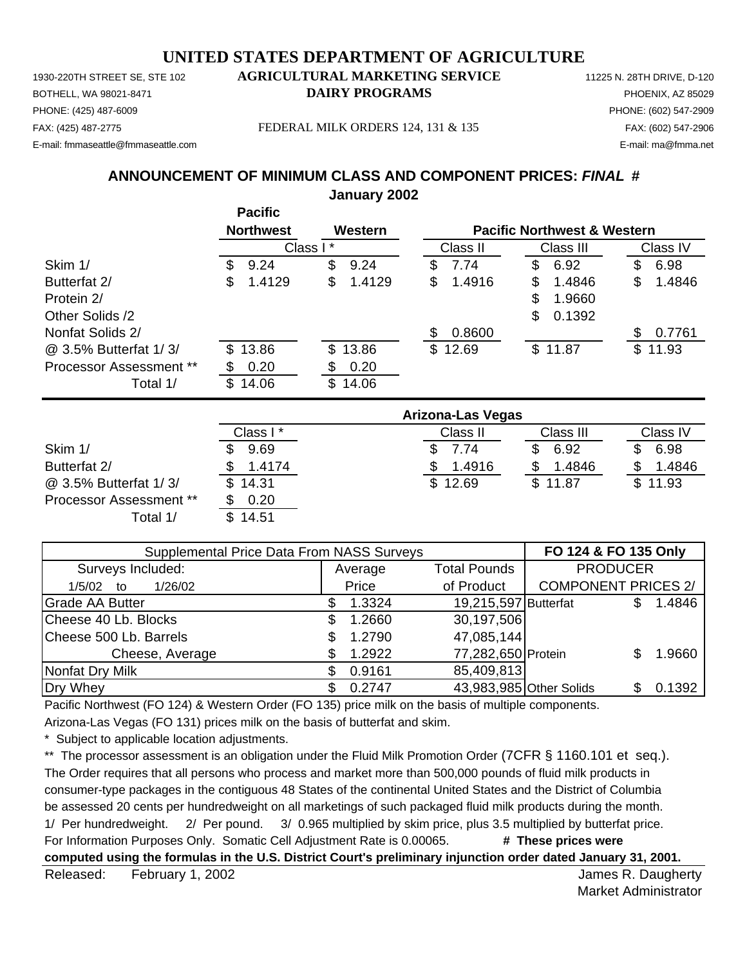1930-220TH STREET SE, STE 102 **AGRICULTURAL MARKETING SERVICE** 11225 N. 28TH DRIVE, D-120 PHONE: (425) 487-6009 PHONE: (602) 547-2909 E-mail: fmmaseattle@fmmaseattle.com E-mail: ma@fmma.net

# BOTHELL, WA 98021-8471 **DAIRY PROGRAMS** PHOENIX, AZ 85029

FAX: (425) 487-2775 FEDERAL MILK ORDERS 124, 131 & 135 FAX: (602) 547-2906

**ANNOUNCEMENT OF MINIMUM CLASS AND COMPONENT PRICES:** *FINAL* **#**

**January 2002**

|                                |    | <b>Pacific</b>   |          |         |              |    |                                        |              |
|--------------------------------|----|------------------|----------|---------|--------------|----|----------------------------------------|--------------|
|                                |    | <b>Northwest</b> |          | Western |              |    | <b>Pacific Northwest &amp; Western</b> |              |
|                                |    |                  | Class I* |         | Class II     |    | Class III                              | Class IV     |
| Skim 1/                        | S  | 9.24             | \$       | 9.24    | \$<br>7.74   | \$ | 6.92                                   | \$<br>6.98   |
| Butterfat 2/                   | S  | 1.4129           | \$       | 1.4129  | \$<br>1.4916 | S  | 1.4846                                 | \$<br>1.4846 |
| Protein 2/                     |    |                  |          |         |              | \$ | 1.9660                                 |              |
| Other Solids /2                |    |                  |          |         |              | \$ | 0.1392                                 |              |
| Nonfat Solids 2/               |    |                  |          |         | \$<br>0.8600 |    |                                        | 0.7761       |
| @ 3.5% Butterfat 1/3/          |    | \$13.86          |          | \$13.86 | \$12.69      |    | \$11.87                                | \$11.93      |
| <b>Processor Assessment **</b> |    | 0.20             | \$.      | 0.20    |              |    |                                        |              |
| Total 1/                       | S. | 14.06            | \$       | 14.06   |              |    |                                        |              |

|                                | Arizona-Las Vegas |            |           |          |  |  |  |
|--------------------------------|-------------------|------------|-----------|----------|--|--|--|
|                                | Class I*          | Class II   | Class III | Class IV |  |  |  |
| Skim 1/                        | 9.69              | 7.74<br>S. | 6.92      | 6.98     |  |  |  |
| Butterfat 2/                   | 1.4174            | 1.4916     | 1.4846    | 1.4846   |  |  |  |
| @ 3.5% Butterfat 1/3/          | \$14.31           | \$12.69    | \$11.87   | \$11.93  |  |  |  |
| <b>Processor Assessment **</b> | 0.20              |            |           |          |  |  |  |
| Total 1/                       | \$14.51           |            |           |          |  |  |  |

| Supplemental Price Data From NASS Surveys | FO 124 & FO 135 Only           |                      |                            |  |        |
|-------------------------------------------|--------------------------------|----------------------|----------------------------|--|--------|
| Surveys Included:                         | <b>Total Pounds</b><br>Average |                      | <b>PRODUCER</b>            |  |        |
| 1/26/02<br>1/5/02<br>to                   | Price                          | of Product           | <b>COMPONENT PRICES 2/</b> |  |        |
| Grade AA Butter                           | 1.3324                         | 19,215,597 Butterfat |                            |  | 1.4846 |
| Cheese 40 Lb. Blocks                      | 1.2660                         | 30,197,506           |                            |  |        |
| Cheese 500 Lb. Barrels                    | 1.2790                         | 47,085,144           |                            |  |        |
| Cheese, Average                           | 1.2922                         | 77,282,650 Protein   |                            |  | 1.9660 |
| Nonfat Dry Milk                           | 0.9161                         | 85,409,813           |                            |  |        |
| Dry Whey                                  | 0.2747                         |                      | 43,983,985 Other Solids    |  | 0.1392 |

Pacific Northwest (FO 124) & Western Order (FO 135) price milk on the basis of multiple components.

Arizona-Las Vegas (FO 131) prices milk on the basis of butterfat and skim.

Subject to applicable location adjustments.

\*\* The processor assessment is an obligation under the Fluid Milk Promotion Order (7CFR § 1160.101 et seq.). The Order requires that all persons who process and market more than 500,000 pounds of fluid milk products in consumer-type packages in the contiguous 48 States of the continental United States and the District of Columbia be assessed 20 cents per hundredweight on all marketings of such packaged fluid milk products during the month. 1/ Per hundredweight. 2/ Per pound. 3/ 0.965 multiplied by skim price, plus 3.5 multiplied by butterfat price. For Information Purposes Only. Somatic Cell Adjustment Rate is 0.00065. **# These prices were computed using the formulas in the U.S. District Court's preliminary injunction order dated January 31, 2001.**

Released: February 1, 2002 **Contract Contract Contract Contract Contract Contract Contract Contract Contract Contract Contract Contract Contract Contract Contract Contract Contract Contract Contract Contract Contract Contr** February 1, 2002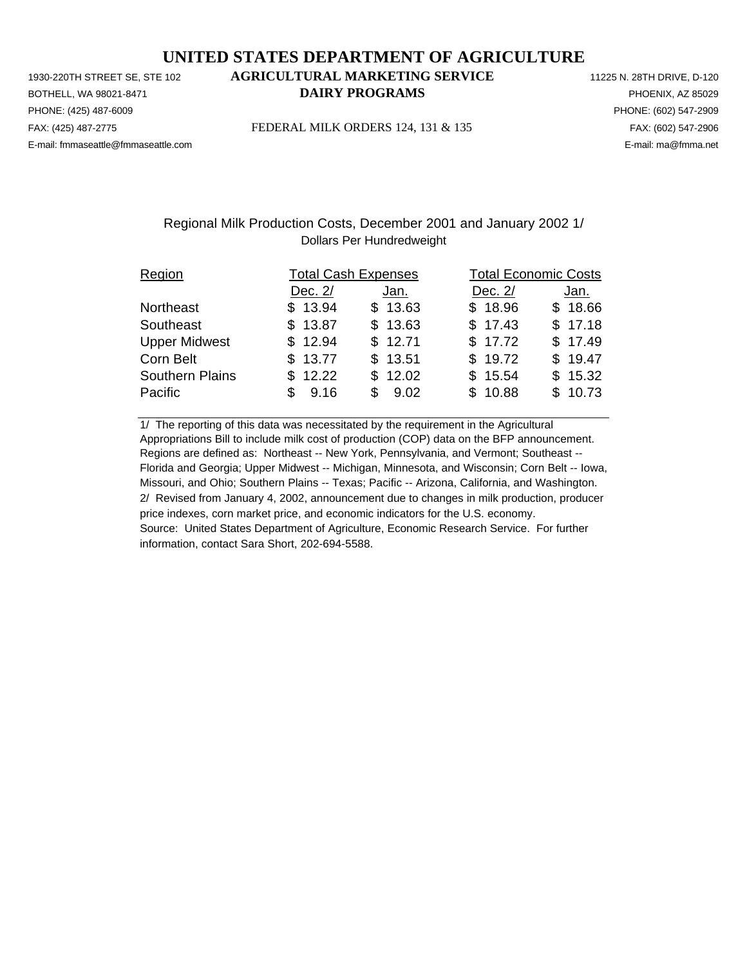PHONE: (425) 487-6009 PHONE: (602) 547-2909 E-mail: fmmaseattle@fmmaseattle.com E-mail: ma@fmma.net

# 1930-220TH STREET SE, STE 102 **AGRICULTURAL MARKETING SERVICE** 11225 N. 28TH DRIVE, D-120 BOTHELL, WA 98021-8471 **DAIRY PROGRAMS** PHOENIX, AZ 85029

FAX: (425) 487-2775 FEDERAL MILK ORDERS 124, 131 & 135 FAX: (602) 547-2906

### Regional Milk Production Costs, December 2001 and January 2002 1/ Dollars Per Hundredweight

| Region                 |             | <b>Total Cash Expenses</b> |         | <b>Total Economic Costs</b> |  |  |  |
|------------------------|-------------|----------------------------|---------|-----------------------------|--|--|--|
|                        | Dec. 2/     | Jan.                       | Dec. 2/ | Jan.                        |  |  |  |
| <b>Northeast</b>       | \$13.94     | \$13.63                    | \$18.96 | \$18.66                     |  |  |  |
| Southeast              | \$13.87     | \$13.63                    | \$17.43 | \$17.18                     |  |  |  |
| <b>Upper Midwest</b>   | \$12.94     | \$12.71                    | \$17.72 | \$17.49                     |  |  |  |
| Corn Belt              | \$13.77     | \$13.51                    | \$19.72 | \$19.47                     |  |  |  |
| <b>Southern Plains</b> | \$12.22     | \$12.02                    | \$15.54 | \$15.32                     |  |  |  |
| Pacific                | 9.16<br>\$. | \$9.02                     | \$10.88 | \$10.73                     |  |  |  |

1/ The reporting of this data was necessitated by the requirement in the Agricultural Appropriations Bill to include milk cost of production (COP) data on the BFP announcement. Regions are defined as: Northeast -- New York, Pennsylvania, and Vermont; Southeast -- Florida and Georgia; Upper Midwest -- Michigan, Minnesota, and Wisconsin; Corn Belt -- Iowa, Missouri, and Ohio; Southern Plains -- Texas; Pacific -- Arizona, California, and Washington. 2/ Revised from January 4, 2002, announcement due to changes in milk production, producer price indexes, corn market price, and economic indicators for the U.S. economy. Source: United States Department of Agriculture, Economic Research Service. For further information, contact Sara Short, 202-694-5588.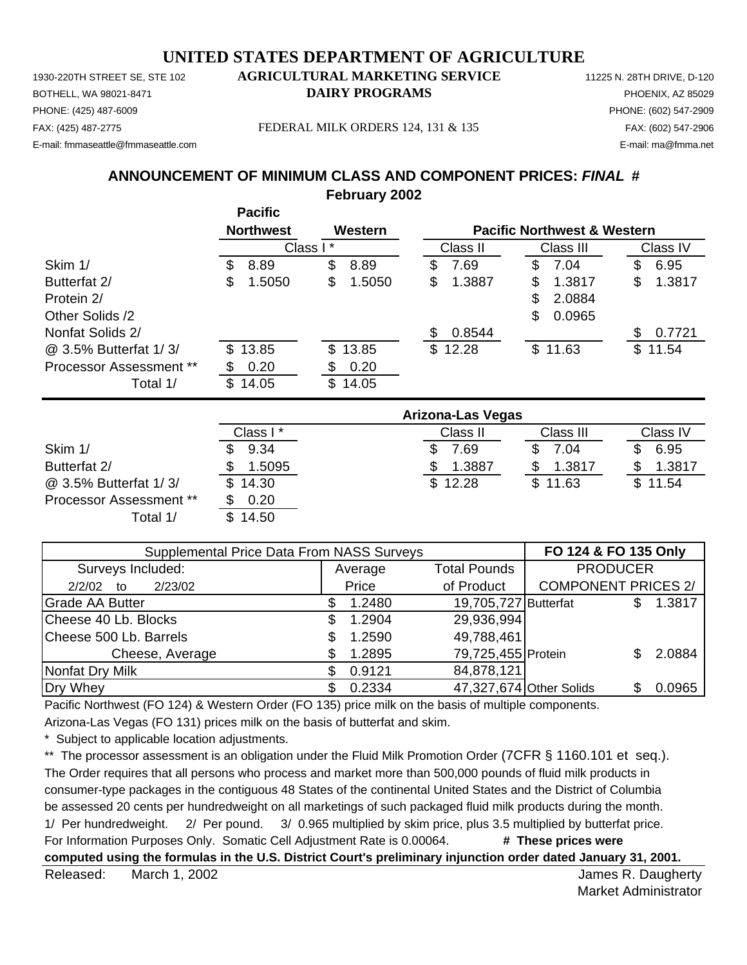1930-220TH STREET SE, STE 102 **AGRICULTURAL MARKETING SERVICE** 11225 N. 28TH DRIVE, D-120 PHONE: (425) 487-6009 PHONE: (602) 547-2909 E-mail: fmmaseattle@fmmaseattle.com E-mail: ma@fmma.net

# BOTHELL, WA 98021-8471 **DAIRY PROGRAMS** PHOENIX, AZ 85029

FAX: (425) 487-2775 FEDERAL MILK ORDERS 124, 131 & 135 FAX: (602) 547-2906

# **ANNOUNCEMENT OF MINIMUM CLASS AND COMPONENT PRICES:** *FINAL* **#**

**February 2002**

|                         |    | <b>Pacific</b>   |          |         |    |          |              |                                        |              |
|-------------------------|----|------------------|----------|---------|----|----------|--------------|----------------------------------------|--------------|
|                         |    | <b>Northwest</b> |          | Western |    |          |              | <b>Pacific Northwest &amp; Western</b> |              |
|                         |    |                  | Class I* |         |    | Class II |              | Class III                              | Class IV     |
| Skim 1/                 | \$ | 8.89             | \$       | 8.89    | \$ | 7.69     | \$           | 7.04                                   | \$<br>6.95   |
| Butterfat 2/            | S  | 1.5050           | \$       | 1.5050  | \$ | 1.3887   | \$           | 1.3817                                 | \$<br>1.3817 |
| Protein 2/              |    |                  |          |         |    |          | \$           | 2.0884                                 |              |
| Other Solids /2         |    |                  |          |         |    |          | \$           | 0.0965                                 |              |
| Nonfat Solids 2/        |    |                  |          |         | S  | 0.8544   |              |                                        | 0.7721       |
| @ 3.5% Butterfat 1/3/   |    | \$13.85          |          | \$13.85 |    | \$12.28  | $\mathbb{S}$ | 11.63                                  | \$<br>11.54  |
| Processor Assessment ** |    | 0.20             |          | 0.20    |    |          |              |                                        |              |
| Total 1/                | S. | 14.05            | \$       | 14.05   |    |          |              |                                        |              |

|                         | <b>Arizona-Las Vegas</b> |          |           |          |  |  |  |
|-------------------------|--------------------------|----------|-----------|----------|--|--|--|
|                         | Class I*                 | Class II | Class III | Class IV |  |  |  |
| Skim 1/                 | 9.34                     | 69.'     | 7.04      | 6.95     |  |  |  |
| Butterfat 2/            | 1.5095                   | 1.3887   | 1.3817    | 1.3817   |  |  |  |
| @ 3.5% Butterfat 1/3/   | \$14.30                  | \$12.28  | \$11.63   | \$11.54  |  |  |  |
| Processor Assessment ** | 0.20                     |          |           |          |  |  |  |
| Total 1/                | \$14.50                  |          |           |          |  |  |  |

| Supplemental Price Data From NASS Surveys | FO 124 & FO 135 Only |                                |                         |                            |     |        |
|-------------------------------------------|----------------------|--------------------------------|-------------------------|----------------------------|-----|--------|
| Surveys Included:                         |                      | <b>Total Pounds</b><br>Average |                         | <b>PRODUCER</b>            |     |        |
| 2/23/02<br>2/2/02<br>to                   |                      | Price                          | of Product              | <b>COMPONENT PRICES 2/</b> |     |        |
| <b>Grade AA Butter</b>                    |                      | 1.2480                         | 19,705,727 Butterfat    |                            | \$. | 1.3817 |
| Cheese 40 Lb. Blocks                      | S                    | 1.2904                         | 29,936,994              |                            |     |        |
| Cheese 500 Lb. Barrels                    |                      | 1.2590                         | 49,788,461              |                            |     |        |
| Cheese, Average                           |                      | 1.2895                         | 79,725,455 Protein      |                            |     | 2.0884 |
| Nonfat Dry Milk                           |                      | 0.9121                         | 84,878,121              |                            |     |        |
| Dry Whey                                  |                      | 0.2334                         | 47,327,674 Other Solids |                            |     | 0.0965 |

Pacific Northwest (FO 124) & Western Order (FO 135) price milk on the basis of multiple components.

Arizona-Las Vegas (FO 131) prices milk on the basis of butterfat and skim.

Subject to applicable location adjustments.

\*\* The processor assessment is an obligation under the Fluid Milk Promotion Order (7CFR § 1160.101 et seq.). The Order requires that all persons who process and market more than 500,000 pounds of fluid milk products in consumer-type packages in the contiguous 48 States of the continental United States and the District of Columbia be assessed 20 cents per hundredweight on all marketings of such packaged fluid milk products during the month. 1/ Per hundredweight. 2/ Per pound. 3/ 0.965 multiplied by skim price, plus 3.5 multiplied by butterfat price. For Information Purposes Only. Somatic Cell Adjustment Rate is 0.00064. **# These prices were computed using the formulas in the U.S. District Court's preliminary injunction order dated January 31, 2001.**

Released: March 1, 2002 **Released:** March 1, 2002 March 1, 2002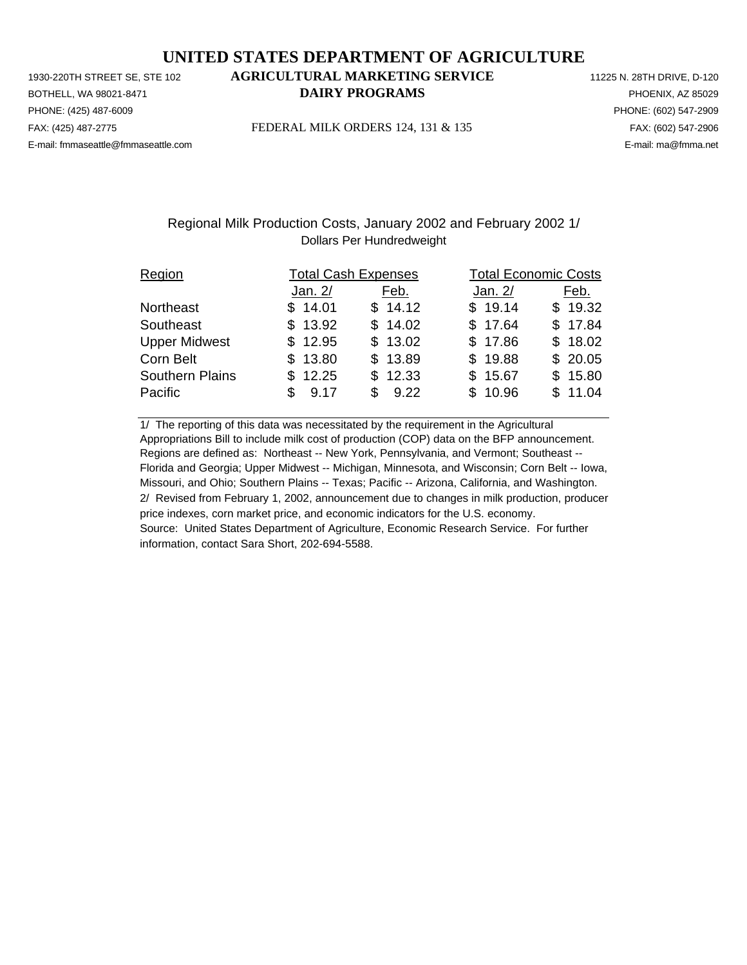PHONE: (425) 487-6009 PHONE: (602) 547-2909 E-mail: fmmaseattle@fmmaseattle.com E-mail: ma@fmma.net

# 1930-220TH STREET SE, STE 102 **AGRICULTURAL MARKETING SERVICE** 11225 N. 28TH DRIVE, D-120 BOTHELL, WA 98021-8471 **DAIRY PROGRAMS** PHOENIX, AZ 85029

FAX: (425) 487-2775 FEDERAL MILK ORDERS 124, 131 & 135 FAX: (602) 547-2906

### Regional Milk Production Costs, January 2002 and February 2002 1/ Dollars Per Hundredweight

| Region                 |             | <b>Total Cash Expenses</b> |         | <b>Total Economic Costs</b> |  |  |  |
|------------------------|-------------|----------------------------|---------|-----------------------------|--|--|--|
|                        | Jan. 2/     | Feb.                       | Jan. 2/ | Feb.                        |  |  |  |
| <b>Northeast</b>       | \$14.01     | \$14.12                    | \$19.14 | \$19.32                     |  |  |  |
| Southeast              | \$13.92     | \$14.02                    | \$17.64 | \$17.84                     |  |  |  |
| <b>Upper Midwest</b>   | \$12.95     | \$13.02                    | \$17.86 | \$18.02                     |  |  |  |
| Corn Belt              | \$13.80     | \$13.89                    | \$19.88 | \$20.05                     |  |  |  |
| <b>Southern Plains</b> | \$12.25     | \$12.33                    | \$15.67 | \$15.80                     |  |  |  |
| Pacific                | 9.17<br>\$. | \$9.22                     | \$10.96 | \$11.04                     |  |  |  |

1/ The reporting of this data was necessitated by the requirement in the Agricultural Appropriations Bill to include milk cost of production (COP) data on the BFP announcement. Regions are defined as: Northeast -- New York, Pennsylvania, and Vermont; Southeast -- Florida and Georgia; Upper Midwest -- Michigan, Minnesota, and Wisconsin; Corn Belt -- Iowa, Missouri, and Ohio; Southern Plains -- Texas; Pacific -- Arizona, California, and Washington. 2/ Revised from February 1, 2002, announcement due to changes in milk production, producer price indexes, corn market price, and economic indicators for the U.S. economy. Source: United States Department of Agriculture, Economic Research Service. For further information, contact Sara Short, 202-694-5588.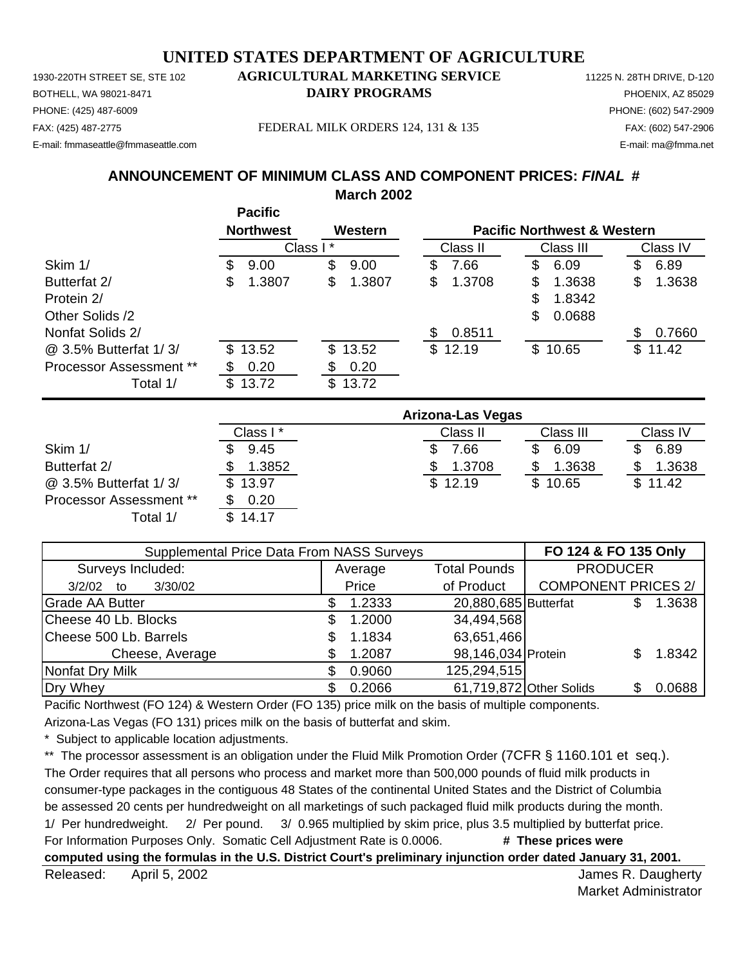PHONE: (425) 487-6009 PHONE: (602) 547-2909 E-mail: fmmaseattle@fmmaseattle.com E-mail: ma@fmma.net

# 1930-220TH STREET SE, STE 102 **AGRICULTURAL MARKETING SERVICE** 11225 N. 28TH DRIVE, D-120 BOTHELL, WA 98021-8471 **DAIRY PROGRAMS** PHOENIX, AZ 85029

FAX: (425) 487-2775 FEDERAL MILK ORDERS 124, 131 & 135 FAX: (602) 547-2906

# **ANNOUNCEMENT OF MINIMUM CLASS AND COMPONENT PRICES:** *FINAL* **#**

**March 2002**

|                         |   | <b>Pacific</b>   |          |         |     |          |    |                                        |    |          |
|-------------------------|---|------------------|----------|---------|-----|----------|----|----------------------------------------|----|----------|
|                         |   | <b>Northwest</b> |          | Western |     |          |    | <b>Pacific Northwest &amp; Western</b> |    |          |
|                         |   |                  | Class I* |         |     | Class II |    | Class III                              |    | Class IV |
| Skim 1/                 | S | 9.00             | \$       | 9.00    | S   | 7.66     | \$ | 6.09                                   | \$ | 6.89     |
| Butterfat 2/            | S | 1.3807           | \$       | 1.3807  | \$  | 1.3708   | S  | 1.3638                                 | \$ | 1.3638   |
| Protein 2/              |   |                  |          |         |     |          | \$ | 1.8342                                 |    |          |
| Other Solids /2         |   |                  |          |         |     |          | \$ | 0.0688                                 |    |          |
| Nonfat Solids 2/        |   |                  |          |         | \$. | 0.8511   |    |                                        | S  | 0.7660   |
| @ 3.5% Butterfat 1/3/   |   | \$13.52          |          | \$13.52 |     | \$12.19  |    | \$10.65                                |    | \$11.42  |
| Processor Assessment ** |   | 0.20             | \$       | 0.20    |     |          |    |                                        |    |          |
| Total 1/                |   | \$13.72          | \$       | 13.72   |     |          |    |                                        |    |          |

|                                | Arizona-Las Vegas |          |           |          |  |  |  |
|--------------------------------|-------------------|----------|-----------|----------|--|--|--|
|                                | Class I*          | Class II | Class III | Class IV |  |  |  |
| Skim 1/                        | 9.45              | .66      | 6.09      | 6.89     |  |  |  |
| Butterfat 2/                   | 1.3852            | 1.3708   | 1.3638    | 1.3638   |  |  |  |
| @ 3.5% Butterfat 1/3/          | \$13.97           | \$12.19  | \$10.65   | \$11.42  |  |  |  |
| <b>Processor Assessment **</b> | 0.20              |          |           |          |  |  |  |
| Total 1/                       | \$14.17           |          |           |          |  |  |  |

| <b>Supplemental Price Data From NASS Surveys</b> | FO 124 & FO 135 Only |         |                         |                            |    |        |
|--------------------------------------------------|----------------------|---------|-------------------------|----------------------------|----|--------|
| Surveys Included:                                |                      | Average | <b>PRODUCER</b>         |                            |    |        |
| 3/30/02<br>3/2/02<br>to                          |                      | Price   | of Product              | <b>COMPONENT PRICES 2/</b> |    |        |
| <b>Grade AA Butter</b>                           |                      | 1.2333  | 20,880,685 Butterfat    |                            |    | 1.3638 |
| Cheese 40 Lb. Blocks                             | S                    | 1.2000  | 34,494,568              |                            |    |        |
| Cheese 500 Lb. Barrels                           |                      | 1.1834  | 63,651,466              |                            |    |        |
| Cheese, Average                                  | S                    | 1.2087  | 98,146,034 Protein      |                            |    | 1.8342 |
| Nonfat Dry Milk                                  |                      | 0.9060  | 125,294,515             |                            |    |        |
| Dry Whey                                         |                      | 0.2066  | 61,719,872 Other Solids |                            | SS | 0.0688 |

Pacific Northwest (FO 124) & Western Order (FO 135) price milk on the basis of multiple components.

Arizona-Las Vegas (FO 131) prices milk on the basis of butterfat and skim.

Subject to applicable location adjustments.

\*\* The processor assessment is an obligation under the Fluid Milk Promotion Order (7CFR § 1160.101 et seq.). The Order requires that all persons who process and market more than 500,000 pounds of fluid milk products in consumer-type packages in the contiguous 48 States of the continental United States and the District of Columbia be assessed 20 cents per hundredweight on all marketings of such packaged fluid milk products during the month. 1/ Per hundredweight. 2/ Per pound. 3/ 0.965 multiplied by skim price, plus 3.5 multiplied by butterfat price. For Information Purposes Only. Somatic Cell Adjustment Rate is 0.0006. **# These prices were computed using the formulas in the U.S. District Court's preliminary injunction order dated January 31, 2001.**

Released: April 5, 2002 **Released:** April 5, 2002 April 5, 2002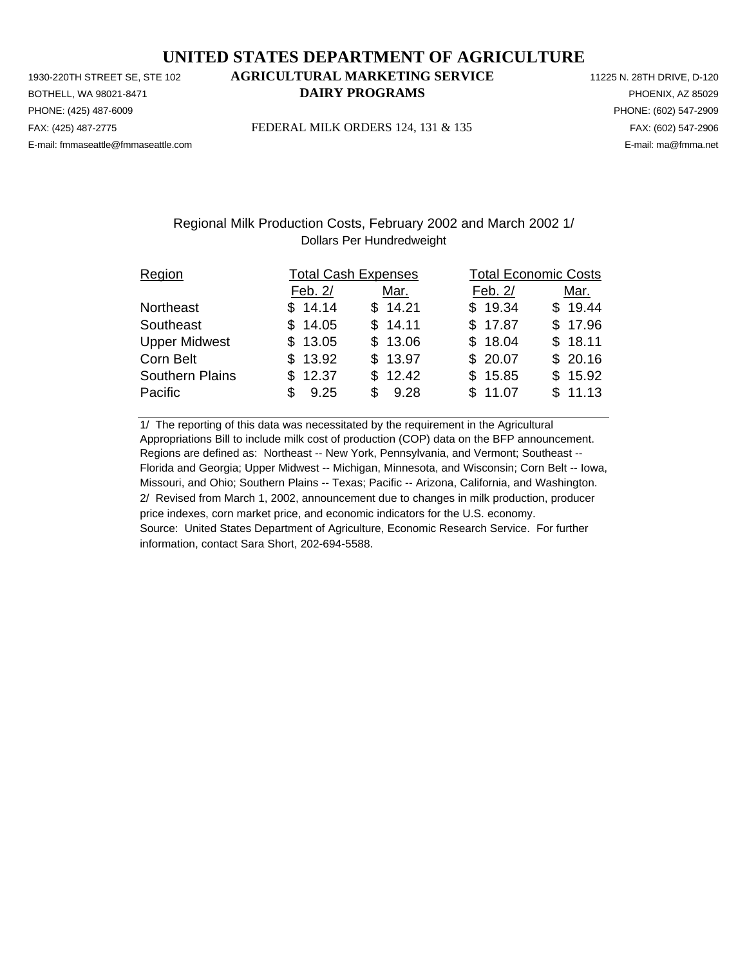PHONE: (425) 487-6009 PHONE: (602) 547-2909 E-mail: fmmaseattle@fmmaseattle.com E-mail: ma@fmma.net

# 1930-220TH STREET SE, STE 102 **AGRICULTURAL MARKETING SERVICE** 11225 N. 28TH DRIVE, D-120 BOTHELL, WA 98021-8471 **DAIRY PROGRAMS** PHOENIX, AZ 85029

FAX: (425) 487-2775 FEDERAL MILK ORDERS 124, 131 & 135 FAX: (602) 547-2906

### Regional Milk Production Costs, February 2002 and March 2002 1/ Dollars Per Hundredweight

| Region                 | <b>Total Cash Expenses</b> |         |         | <b>Total Economic Costs</b> |  |  |  |
|------------------------|----------------------------|---------|---------|-----------------------------|--|--|--|
|                        | Feb. 2/                    | Mar.    | Feb. 2/ | Mar.                        |  |  |  |
| Northeast              | \$14.14                    | \$14.21 | \$19.34 | \$19.44                     |  |  |  |
| Southeast              | \$14.05                    | \$14.11 | \$17.87 | \$17.96                     |  |  |  |
| <b>Upper Midwest</b>   | \$13.05                    | \$13.06 | \$18.04 | \$18.11                     |  |  |  |
| Corn Belt              | \$13.92                    | \$13.97 | \$20.07 | \$20.16                     |  |  |  |
| <b>Southern Plains</b> | \$12.37                    | \$12.42 | \$15.85 | \$15.92                     |  |  |  |
| Pacific                | 9.25                       | \$9.28  | \$11.07 | \$11.13                     |  |  |  |

1/ The reporting of this data was necessitated by the requirement in the Agricultural Appropriations Bill to include milk cost of production (COP) data on the BFP announcement. Regions are defined as: Northeast -- New York, Pennsylvania, and Vermont; Southeast -- Florida and Georgia; Upper Midwest -- Michigan, Minnesota, and Wisconsin; Corn Belt -- Iowa, Missouri, and Ohio; Southern Plains -- Texas; Pacific -- Arizona, California, and Washington. 2/ Revised from March 1, 2002, announcement due to changes in milk production, producer price indexes, corn market price, and economic indicators for the U.S. economy. Source: United States Department of Agriculture, Economic Research Service. For further information, contact Sara Short, 202-694-5588.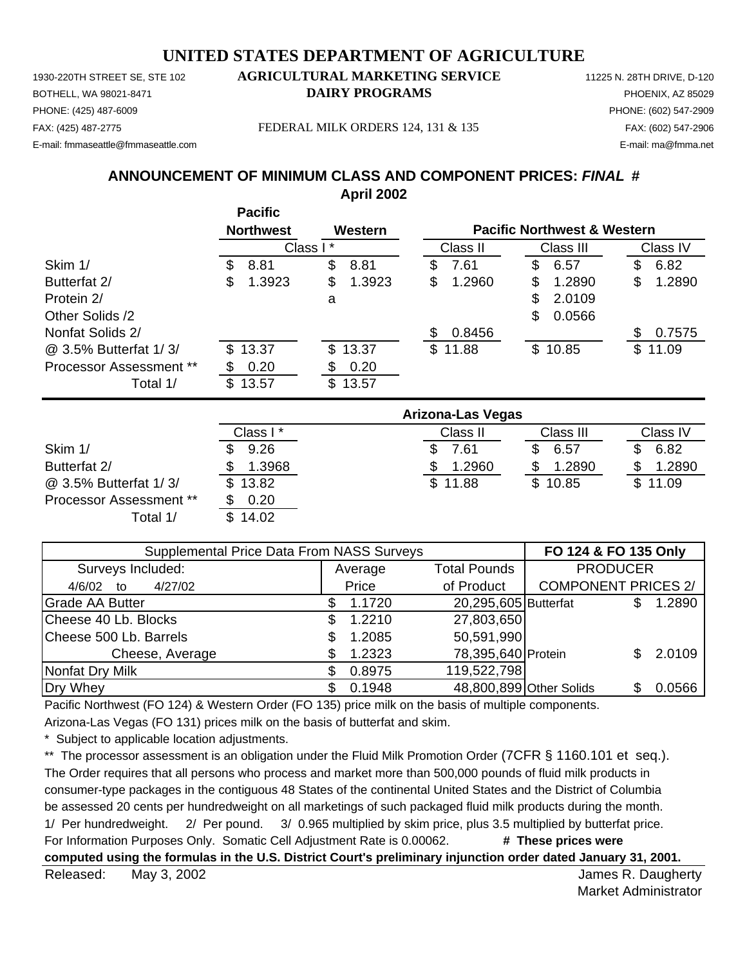1930-220TH STREET SE, STE 102 **AGRICULTURAL MARKETING SERVICE** 11225 N. 28TH DRIVE, D-120 PHONE: (425) 487-6009 PHONE: (602) 547-2909 E-mail: fmmaseattle@fmmaseattle.com E-mail: ma@fmma.net

# BOTHELL, WA 98021-8471 **DAIRY PROGRAMS** PHOENIX, AZ 85029

FAX: (425) 487-2775 FEDERAL MILK ORDERS 124, 131 & 135 FAX: (602) 547-2906

**ANNOUNCEMENT OF MINIMUM CLASS AND COMPONENT PRICES:** *FINAL* **# April 2002**

|                         |         | <b>Pacific</b><br><b>Northwest</b> |     | Western |     |          |    | <b>Pacific Northwest &amp; Western</b> |     |          |
|-------------------------|---------|------------------------------------|-----|---------|-----|----------|----|----------------------------------------|-----|----------|
|                         |         | Class I*                           |     |         |     | Class II |    | Class III                              |     | Class IV |
| Skim 1/                 | S       | 8.81                               | \$  | 8.81    | æ.  | 7.61     | \$ | 6.57                                   | S   | 6.82     |
| Butterfat 2/            | \$.     | 1.3923                             | \$  | 1.3923  | S   | 1.2960   | S  | 1.2890                                 | S   | 1.2890   |
| Protein 2/              |         |                                    | a   |         |     |          | \$ | 2.0109                                 |     |          |
| Other Solids /2         |         |                                    |     |         |     |          | \$ | 0.0566                                 |     |          |
| Nonfat Solids 2/        |         |                                    |     |         | SS. | 0.8456   |    |                                        | \$. | 0.7575   |
| @ 3.5% Butterfat 1/3/   |         | \$13.37                            | \$. | 13.37   |     | \$11.88  |    | \$10.85                                | \$  | 11.09    |
| Processor Assessment ** |         | 0.20                               |     | 0.20    |     |          |    |                                        |     |          |
| Total 1/                | \$13.57 |                                    | \$  | 13.57   |     |          |    |                                        |     |          |

|                         | Arizona-Las Vegas |          |           |          |  |  |  |  |
|-------------------------|-------------------|----------|-----------|----------|--|--|--|--|
|                         | Class I*          | Class II | Class III | Class IV |  |  |  |  |
| Skim 1/                 | 9.26              | 7.61     | 6.57      | 6.82     |  |  |  |  |
| Butterfat 2/            | 1.3968            | 1.2960   | 1.2890    | 1.2890   |  |  |  |  |
| @ 3.5% Butterfat 1/3/   | \$13.82           | \$11.88  | \$10.85   | \$11.09  |  |  |  |  |
| Processor Assessment ** | 0.20              |          |           |          |  |  |  |  |
| Total 1/                | 14.02             |          |           |          |  |  |  |  |

| Supplemental Price Data From NASS Surveys | FO 124 & FO 135 Only |                                |                         |                            |        |                 |  |
|-------------------------------------------|----------------------|--------------------------------|-------------------------|----------------------------|--------|-----------------|--|
| Surveys Included:                         |                      | <b>Total Pounds</b><br>Average |                         |                            |        | <b>PRODUCER</b> |  |
| 4/27/02<br>4/6/02<br>to                   |                      | Price                          | of Product              | <b>COMPONENT PRICES 2/</b> |        |                 |  |
| <b>Grade AA Butter</b>                    |                      | 1.1720                         | 20,295,605 Butterfat    |                            | 1.2890 |                 |  |
| Cheese 40 Lb. Blocks                      |                      | 1.2210                         | 27,803,650              |                            |        |                 |  |
| Cheese 500 Lb. Barrels                    |                      | 1.2085                         | 50,591,990              |                            |        |                 |  |
| Cheese, Average                           |                      | 1.2323                         | 78,395,640 Protein      |                            | 2.0109 |                 |  |
| Nonfat Dry Milk                           |                      | 0.8975                         | 119,522,798             |                            |        |                 |  |
| Dry Whey                                  |                      | 0.1948                         | 48,800,899 Other Solids |                            | 0.0566 |                 |  |

Pacific Northwest (FO 124) & Western Order (FO 135) price milk on the basis of multiple components.

Arizona-Las Vegas (FO 131) prices milk on the basis of butterfat and skim.

Subject to applicable location adjustments.

\*\* The processor assessment is an obligation under the Fluid Milk Promotion Order (7CFR § 1160.101 et seq.). The Order requires that all persons who process and market more than 500,000 pounds of fluid milk products in consumer-type packages in the contiguous 48 States of the continental United States and the District of Columbia be assessed 20 cents per hundredweight on all marketings of such packaged fluid milk products during the month. 1/ Per hundredweight. 2/ Per pound. 3/ 0.965 multiplied by skim price, plus 3.5 multiplied by butterfat price. For Information Purposes Only. Somatic Cell Adjustment Rate is 0.00062. **# These prices were computed using the formulas in the U.S. District Court's preliminary injunction order dated January 31, 2001.**

Released: May 3, 2002 **Released:** May 3, 2002 May 3, 2002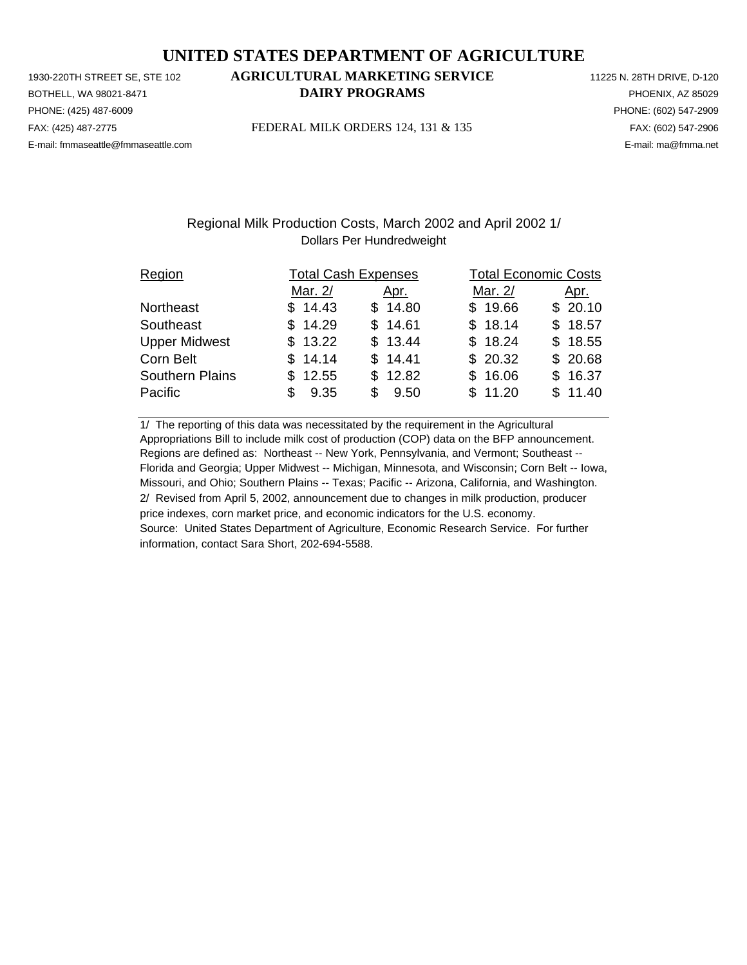PHONE: (425) 487-6009 PHONE: (602) 547-2909 E-mail: fmmaseattle@fmmaseattle.com E-mail: ma@fmma.net

# 1930-220TH STREET SE, STE 102 **AGRICULTURAL MARKETING SERVICE** 11225 N. 28TH DRIVE, D-120 BOTHELL, WA 98021-8471 **DAIRY PROGRAMS** PHOENIX, AZ 85029

FAX: (425) 487-2775 FEDERAL MILK ORDERS 124, 131 & 135 FAX: (602) 547-2906

### Regional Milk Production Costs, March 2002 and April 2002 1/ Dollars Per Hundredweight

| Region                 |            | <b>Total Cash Expenses</b> |         | <b>Total Economic Costs</b> |  |  |  |
|------------------------|------------|----------------------------|---------|-----------------------------|--|--|--|
|                        | Mar. 2/    | Apr.                       | Mar. 2/ | <u>Apr.</u>                 |  |  |  |
| Northeast              | \$14.43    | \$14.80                    | \$19.66 | \$20.10                     |  |  |  |
| Southeast              | \$14.29    | \$14.61                    | \$18.14 | \$18.57                     |  |  |  |
| <b>Upper Midwest</b>   | \$13.22    | \$13.44                    | \$18.24 | \$18.55                     |  |  |  |
| Corn Belt              | \$14.14    | \$14.41                    | \$20.32 | \$20.68                     |  |  |  |
| <b>Southern Plains</b> | \$12.55    | \$12.82                    | \$16.06 | \$16.37                     |  |  |  |
| Pacific                | 9.35<br>\$ | 9.50<br>\$.                | \$11.20 | \$11.40                     |  |  |  |

1/ The reporting of this data was necessitated by the requirement in the Agricultural Appropriations Bill to include milk cost of production (COP) data on the BFP announcement. Regions are defined as: Northeast -- New York, Pennsylvania, and Vermont; Southeast -- Florida and Georgia; Upper Midwest -- Michigan, Minnesota, and Wisconsin; Corn Belt -- Iowa, Missouri, and Ohio; Southern Plains -- Texas; Pacific -- Arizona, California, and Washington. 2/ Revised from April 5, 2002, announcement due to changes in milk production, producer price indexes, corn market price, and economic indicators for the U.S. economy. Source: United States Department of Agriculture, Economic Research Service. For further information, contact Sara Short, 202-694-5588.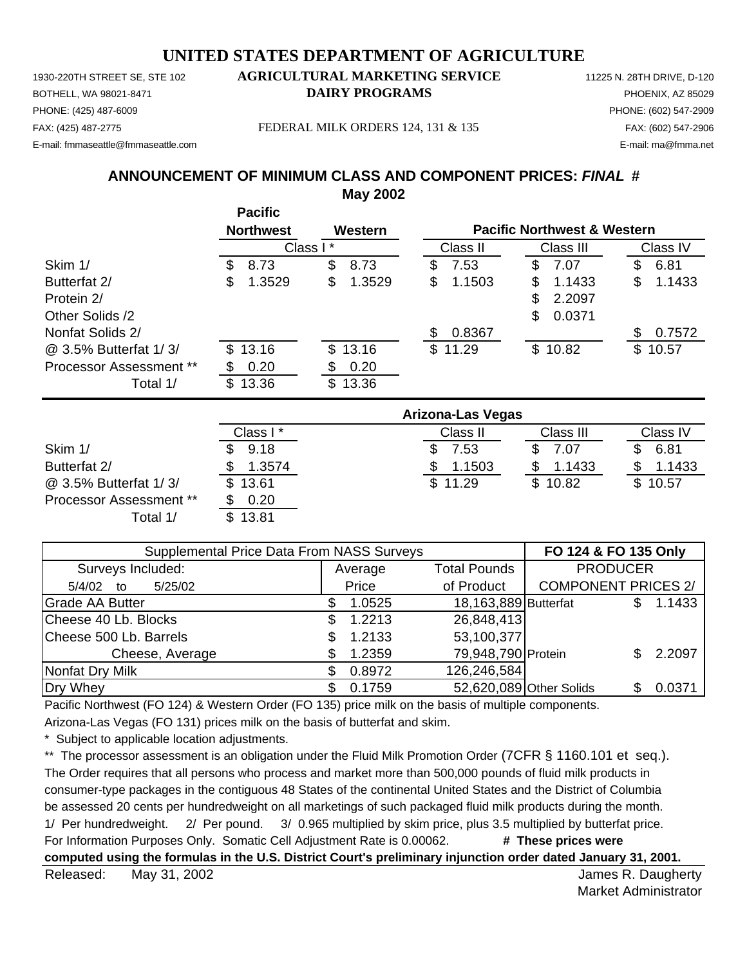1930-220TH STREET SE, STE 102 **AGRICULTURAL MARKETING SERVICE** 11225 N. 28TH DRIVE, D-120 PHONE: (425) 487-6009 PHONE: (602) 547-2909 E-mail: fmmaseattle@fmmaseattle.com E-mail: ma@fmma.net

# BOTHELL, WA 98021-8471 **DAIRY PROGRAMS** PHOENIX, AZ 85029

FAX: (425) 487-2775 FEDERAL MILK ORDERS 124, 131 & 135 FAX: (602) 547-2906

# **ANNOUNCEMENT OF MINIMUM CLASS AND COMPONENT PRICES:** *FINAL* **# May 2002**

|                                | <b>Pacific</b><br><b>Northwest</b> | Western      |                          | <b>Pacific Northwest &amp; Western</b> |              |
|--------------------------------|------------------------------------|--------------|--------------------------|----------------------------------------|--------------|
|                                |                                    | Class I*     | Class II                 | Class III                              | Class IV     |
| Skim 1/                        | \$<br>8.73                         | \$<br>8.73   | \$<br>7.53               | \$<br>7.07                             | \$<br>6.81   |
| Butterfat 2/                   | 1.3529<br>\$                       | \$<br>1.3529 | \$<br>1.1503             | 1.1433<br>S                            | 1.1433<br>\$ |
| Protein 2/                     |                                    |              |                          | \$<br>2.2097                           |              |
| Other Solids /2                |                                    |              |                          | \$<br>0.0371                           |              |
| Nonfat Solids 2/               |                                    |              | 0.8367<br>\$             |                                        | 0.7572<br>S  |
| @ 3.5% Butterfat 1/3/          | 13.16<br>\$                        | 13.16<br>\$  | \$11.29                  | \$10.82                                | \$10.57      |
| <b>Processor Assessment **</b> | 0.20<br>S                          | 0.20<br>æ.   |                          |                                        |              |
| Total 1/                       | \$<br>13.36                        | \$<br>13.36  |                          |                                        |              |
|                                |                                    |              | <b>Arizona-Las Vegas</b> |                                        |              |
|                                | Class I*                           |              | Class II                 | Class III                              | Class IV     |
| Skim 1/                        | 9.18<br>\$                         |              | \$<br>7.53               | \$<br>7.07                             | 6.81<br>\$   |

Butterfat 2/ \$ 1.3574 \$ 1.1503 \$ 1.1433 \$ 1.1433 Butterfat 2/  $\frac{1}{\frac{1}{3}}$   $\frac{1.3574}{\frac{1.3574}{\frac{1.3574}{\frac{1.1503}{\frac{1.29}{\frac{1.29}{\frac{1.362}{\frac{1.361}{\frac{1.361}{\frac{1.361}{\frac{1.361}{\frac{1.361}{\frac{1.361}{\frac{1.361}{\frac{1.361}{\frac{1.361}{\frac{1.361}{\frac{1.361}{\frac{1.361}{\frac{1.361}{\frac{1.361}{\$ Processor Assessment \*\* \$ 0.20 Total  $1/$ 

| <b>Supplemental Price Data From NASS Surveys</b> | FO 124 & FO 135 Only           |                      |                            |               |
|--------------------------------------------------|--------------------------------|----------------------|----------------------------|---------------|
| Surveys Included:                                | <b>Total Pounds</b><br>Average |                      | <b>PRODUCER</b>            |               |
| 5/25/02<br>5/4/02<br>to                          | Price                          | of Product           | <b>COMPONENT PRICES 2/</b> |               |
| Grade AA Butter                                  | 1.0525<br>S                    | 18,163,889 Butterfat |                            | 1.1433<br>\$. |
| Cheese 40 Lb. Blocks                             | 1.2213<br>S                    | 26,848,413           |                            |               |
| Cheese 500 Lb. Barrels                           | 1.2133                         | 53,100,377           |                            |               |
| Cheese, Average                                  | 1.2359                         | 79,948,790 Protein   |                            | 2.2097        |
| Nonfat Dry Milk                                  | 0.8972<br>S                    | 126,246,584          |                            |               |
| Dry Whey                                         | 0.1759<br>S                    |                      | 52,620,089 Other Solids    | 0.0371        |

Pacific Northwest (FO 124) & Western Order (FO 135) price milk on the basis of multiple components.

Arizona-Las Vegas (FO 131) prices milk on the basis of butterfat and skim.

\* Subject to applicable location adjustments.

\*\* The processor assessment is an obligation under the Fluid Milk Promotion Order (7CFR § 1160.101 et seq.). The Order requires that all persons who process and market more than 500,000 pounds of fluid milk products in consumer-type packages in the contiguous 48 States of the continental United States and the District of Columbia be assessed 20 cents per hundredweight on all marketings of such packaged fluid milk products during the month. 1/ Per hundredweight. 2/ Per pound. 3/ 0.965 multiplied by skim price, plus 3.5 multiplied by butterfat price. For Information Purposes Only. Somatic Cell Adjustment Rate is 0.00062. **# These prices were computed using the formulas in the U.S. District Court's preliminary injunction order dated January 31, 2001.**

Released: May 31, 2002 **Released:** May 31, 2002 May 31, 2002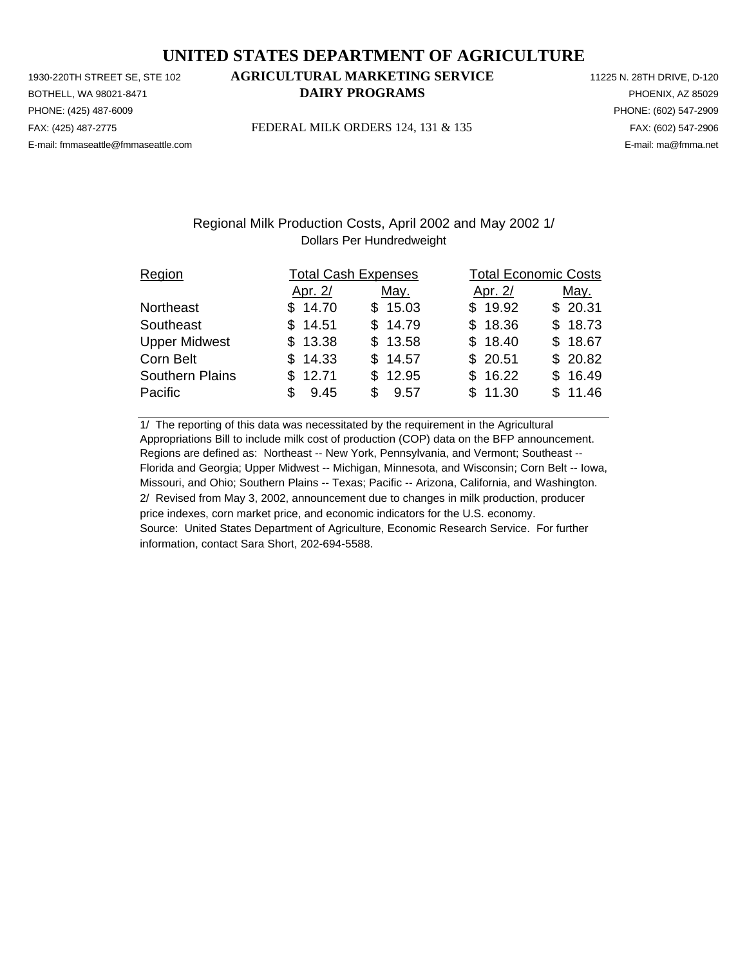PHONE: (425) 487-6009 PHONE: (602) 547-2909 E-mail: fmmaseattle@fmmaseattle.com E-mail: ma@fmma.net

# 1930-220TH STREET SE, STE 102 **AGRICULTURAL MARKETING SERVICE** 11225 N. 28TH DRIVE, D-120 BOTHELL, WA 98021-8471 **DAIRY PROGRAMS** PHOENIX, AZ 85029

FAX: (425) 487-2775 FEDERAL MILK ORDERS 124, 131 & 135 FAX: (602) 547-2906

## Regional Milk Production Costs, April 2002 and May 2002 1/ Dollars Per Hundredweight

| Region                 |             | <b>Total Cash Expenses</b> | <b>Total Economic Costs</b> |         |
|------------------------|-------------|----------------------------|-----------------------------|---------|
|                        | Apr. 2/     | May.                       | Apr. 2/                     | May.    |
| Northeast              | \$14.70     | \$15.03                    | \$19.92                     | \$20.31 |
| Southeast              | \$14.51     | \$14.79                    | \$18.36                     | \$18.73 |
| <b>Upper Midwest</b>   | \$13.38     | \$13.58                    | \$18.40                     | \$18.67 |
| Corn Belt              | \$14.33     | \$14.57                    | \$20.51                     | \$20.82 |
| <b>Southern Plains</b> | \$12.71     | \$12.95                    | \$16.22                     | \$16.49 |
| Pacific                | 9.45<br>\$. | 9.57<br>SS 5               | \$11.30                     | \$11.46 |

1/ The reporting of this data was necessitated by the requirement in the Agricultural Appropriations Bill to include milk cost of production (COP) data on the BFP announcement. Regions are defined as: Northeast -- New York, Pennsylvania, and Vermont; Southeast -- Florida and Georgia; Upper Midwest -- Michigan, Minnesota, and Wisconsin; Corn Belt -- Iowa, Missouri, and Ohio; Southern Plains -- Texas; Pacific -- Arizona, California, and Washington. 2/ Revised from May 3, 2002, announcement due to changes in milk production, producer price indexes, corn market price, and economic indicators for the U.S. economy. Source: United States Department of Agriculture, Economic Research Service. For further information, contact Sara Short, 202-694-5588.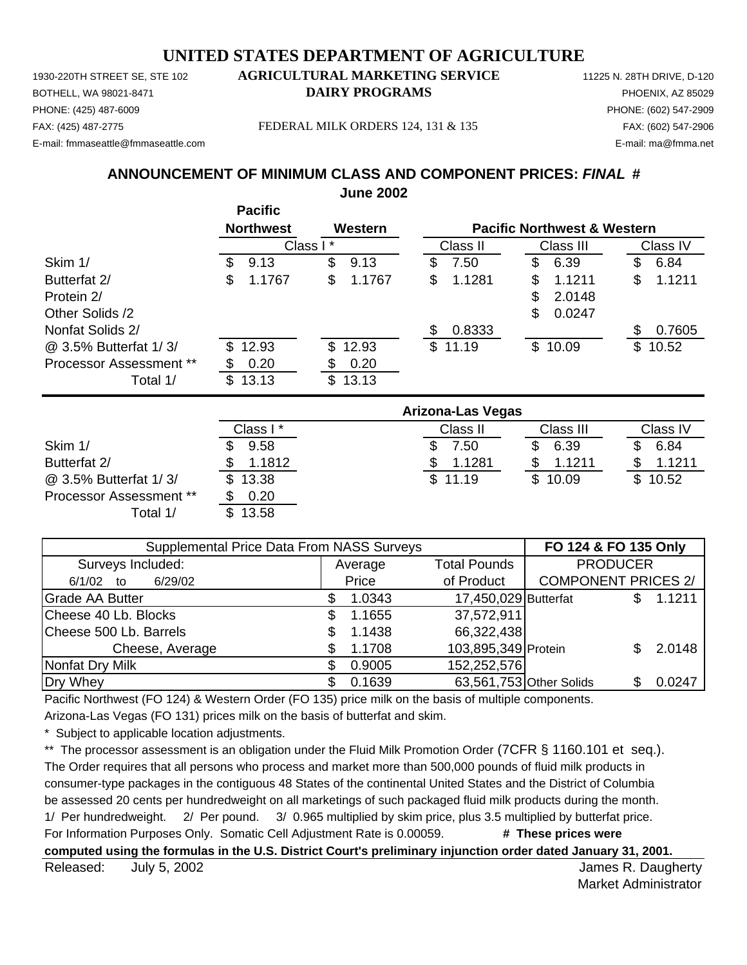PHONE: (425) 487-6009 PHONE: (602) 547-2909 E-mail: fmmaseattle@fmmaseattle.com E-mail: ma@fmma.net

### 1930-220TH STREET SE, STE 102 **AGRICULTURAL MARKETING SERVICE** 11225 N. 28TH DRIVE, D-120 BOTHELL, WA 98021-8471 **DAIRY PROGRAMS** PHOENIX, AZ 85029

FAX: (425) 487-2775 FEDERAL MILK ORDERS 124, 131 & 135 FAX: (602) 547-2906

#### **ANNOUNCEMENT OF MINIMUM CLASS AND COMPONENT PRICES:** *FINAL* **# June 2002**

|                                | <b>Pacific</b><br><b>Northwest</b> | Western      |                          | <b>Pacific Northwest &amp; Western</b> |              |
|--------------------------------|------------------------------------|--------------|--------------------------|----------------------------------------|--------------|
|                                | Class I*                           |              | Class II                 | Class III                              | Class IV     |
| Skim 1/                        | 9.13<br>\$                         | \$<br>9.13   | \$<br>7.50               | \$<br>6.39                             | 6.84         |
| Butterfat 2/                   | 1.1767<br>S                        | \$<br>1.1767 | 1.1281<br>\$             | 1.1211<br>\$                           | 1.1211<br>\$ |
| Protein 2/                     |                                    |              |                          | \$<br>2.0148                           |              |
| Other Solids /2                |                                    |              |                          | 0.0247<br>\$                           |              |
| Nonfat Solids 2/               |                                    |              | 0.8333<br>\$             |                                        | 0.7605<br>\$ |
| @ 3.5% Butterfat 1/3/          | 12.93<br>\$.                       | 12.93<br>\$  | \$11.19                  | \$10.09                                | \$<br>10.52  |
| <b>Processor Assessment **</b> | 0.20<br>SS                         | 0.20<br>\$   |                          |                                        |              |
| Total 1/                       | 13.13<br>\$                        | \$<br>13.13  |                          |                                        |              |
|                                |                                    |              | <b>Arizona-Las Vegas</b> |                                        |              |
|                                | Class I*                           |              | Class II                 | Class III                              | Class IV     |
| Skim 1/                        | 9.58                               |              | 7.50                     | \$<br>6.39                             | 6.84         |
| Butterfat 2/                   | 1.1812<br>SS                       |              | 1.1281<br>SS             | 1.1211<br>S                            | 1.1211<br>\$ |
| @ 3.5% Butterfat 1/3/          | 13.38<br>\$                        |              | \$<br>11.19              | \$<br>10.09                            | \$<br>10.52  |
| <b>Processor Assessment **</b> | S<br>0.20                          |              |                          |                                        |              |

| Supplemental Price Data From NASS Surveys |                                |            |                            |                                                                                                                   |                                         |  |  |
|-------------------------------------------|--------------------------------|------------|----------------------------|-------------------------------------------------------------------------------------------------------------------|-----------------------------------------|--|--|
|                                           | <b>Total Pounds</b><br>Average |            |                            |                                                                                                                   |                                         |  |  |
|                                           | Price                          | of Product | <b>COMPONENT PRICES 2/</b> |                                                                                                                   |                                         |  |  |
|                                           | 1.0343                         |            |                            |                                                                                                                   | 1.1211                                  |  |  |
|                                           | 1.1655                         |            |                            |                                                                                                                   |                                         |  |  |
|                                           | 1.1438                         |            |                            |                                                                                                                   |                                         |  |  |
|                                           | 1.1708                         |            |                            |                                                                                                                   | 2.0148                                  |  |  |
|                                           | 0.9005                         |            |                            |                                                                                                                   |                                         |  |  |
|                                           | 0.1639                         |            |                            |                                                                                                                   | 0.0247                                  |  |  |
|                                           |                                |            |                            | 17,450,029 Butterfat<br>37,572,911<br>66,322,438<br>103,895,349 Protein<br>152,252,576<br>63,561,753 Other Solids | FO 124 & FO 135 Only<br><b>PRODUCER</b> |  |  |

Pacific Northwest (FO 124) & Western Order (FO 135) price milk on the basis of multiple components. Arizona-Las Vegas (FO 131) prices milk on the basis of butterfat and skim.

Subject to applicable location adjustments.

Total 1/ \$ 13.58

\*\* The processor assessment is an obligation under the Fluid Milk Promotion Order (7CFR § 1160.101 et seq.).

The Order requires that all persons who process and market more than 500,000 pounds of fluid milk products in consumer-type packages in the contiguous 48 States of the continental United States and the District of Columbia be assessed 20 cents per hundredweight on all marketings of such packaged fluid milk products during the month. 1/ Per hundredweight. 2/ Per pound. 3/ 0.965 multiplied by skim price, plus 3.5 multiplied by butterfat price. For Information Purposes Only. Somatic Cell Adjustment Rate is 0.00059. **# These prices were** 

**computed using the formulas in the U.S. District Court's preliminary injunction order dated January 31, 2001.**

Released: July 5, 2002 **Released:** July 5, 2002 July 5, 2002

Market Administrator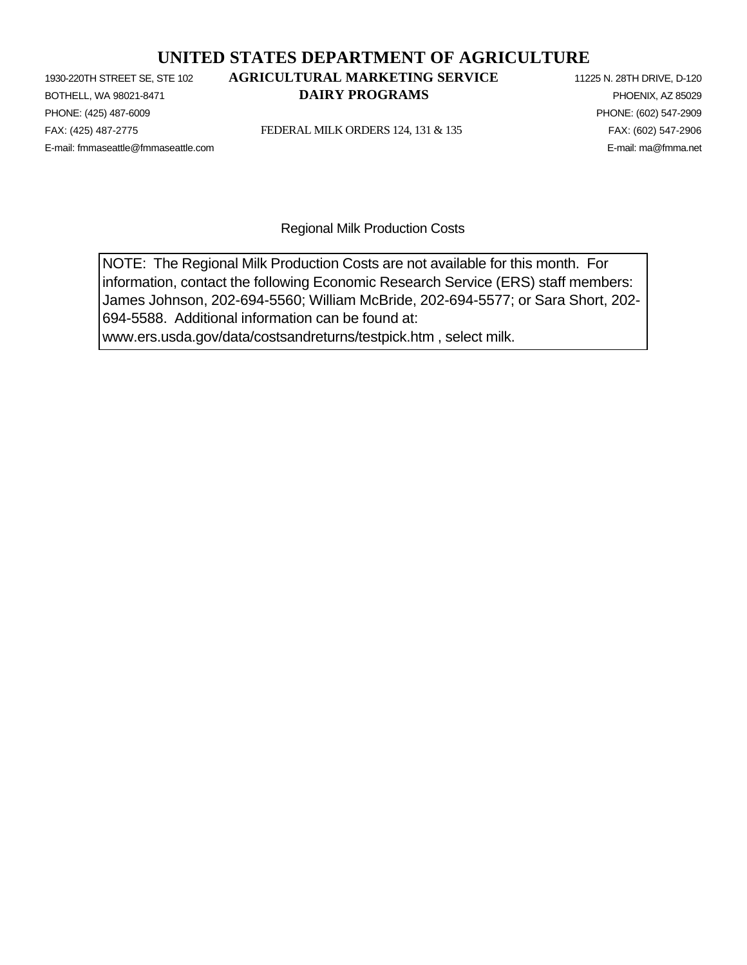PHONE: (425) 487-6009 PHONE: (602) 547-2909 E-mail: fmmaseattle@fmmaseattle.com E-mail: ma@fmma.net

# 1930-220TH STREET SE, STE 102 **AGRICULTURAL MARKETING SERVICE** 11225 N. 28TH DRIVE, D-120 **BOTHELL, WA 98021-8471 DAIRY PROGRAMS PHOENIX, AZ 85029**

FAX: (425) 487-2775 FEDERAL MILK ORDERS 124, 131 & 135 FAX: (602) 547-2906

Regional Milk Production Costs

NOTE: The Regional Milk Production Costs are not available for this month. For information, contact the following Economic Research Service (ERS) staff members: James Johnson, 202-694-5560; William McBride, 202-694-5577; or Sara Short, 202- 694-5588. Additional information can be found at: www.ers.usda.gov/data/costsandreturns/testpick.htm , select milk.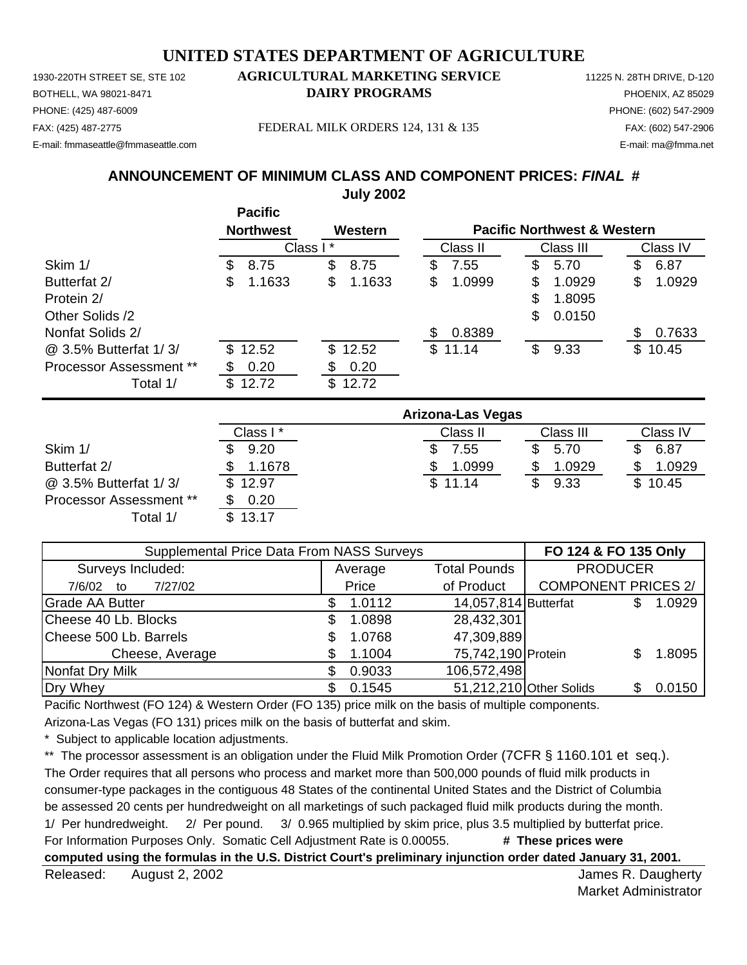1930-220TH STREET SE, STE 102 **AGRICULTURAL MARKETING SERVICE** 11225 N. 28TH DRIVE, D-120 PHONE: (425) 487-6009 PHONE: (602) 547-2909 E-mail: fmmaseattle@fmmaseattle.com E-mail: ma@fmma.net

# BOTHELL, WA 98021-8471 **DAIRY PROGRAMS** PHOENIX, AZ 85029

FAX: (425) 487-2775 FEDERAL MILK ORDERS 124, 131 & 135 FAX: (602) 547-2906

# **ANNOUNCEMENT OF MINIMUM CLASS AND COMPONENT PRICES:** *FINAL* **# July 2002**

|                         | <b>Pacific</b><br><b>Northwest</b> | Western      |                          | <b>Pacific Northwest &amp; Western</b> |              |
|-------------------------|------------------------------------|--------------|--------------------------|----------------------------------------|--------------|
|                         |                                    | Class I*     | Class II                 | Class III                              | Class IV     |
| Skim 1/                 | \$.<br>8.75                        | \$<br>8.75   | 7.55<br>S                | \$<br>5.70                             | 6.87<br>\$   |
| Butterfat 2/            | 1.1633<br>S                        | \$<br>1.1633 | 1.0999<br>\$             | \$<br>1.0929                           | 1.0929<br>\$ |
| Protein 2/              |                                    |              |                          | \$<br>1.8095                           |              |
| Other Solids /2         |                                    |              |                          | \$<br>0.0150                           |              |
| Nonfat Solids 2/        |                                    |              | 0.8389<br>\$             |                                        | 0.7633       |
| @ 3.5% Butterfat 1/3/   | \$12.52                            | \$12.52      | \$11.14                  | \$<br>9.33                             | \$10.45      |
| Processor Assessment ** | 0.20                               | 0.20<br>S    |                          |                                        |              |
| Total 1/                | 12.72<br>\$                        | \$<br>12.72  |                          |                                        |              |
|                         |                                    |              | <b>Arizona-Las Vegas</b> |                                        |              |
|                         | Class I*                           |              | Class II                 | Class III                              | Class IV     |
| Skim 1/                 | 9.20<br>\$                         |              | 7.55<br>S                | \$<br>5.70                             | \$<br>6.87   |
| Butterfat 2/            | 1.1678                             |              | 1.0999<br>\$             | 1.0929<br>\$                           | 1.0929<br>S  |

@ 3.5% Butterfat 1/3/ \$ 12.97 Processor Assessment \*\* \$ 0.20 Total 1/ \$ 13.17

| Class II | Class III | Class IV |
|----------|-----------|----------|
| 7.55     | 5.70      | 6.87     |
| 1.0999   | 1.0929    | 1.0929   |
| \$11.14  | 9.33      | \$10.45  |
|          |           |          |
|          |           |          |

| Supplemental Price Data From NASS Surveys | FO 124 & FO 135 Only |                                |                      |                            |  |        |
|-------------------------------------------|----------------------|--------------------------------|----------------------|----------------------------|--|--------|
| Surveys Included:                         |                      | <b>Total Pounds</b><br>Average |                      | <b>PRODUCER</b>            |  |        |
| 7/27/02<br>7/6/02<br>to                   |                      | Price                          | of Product           | <b>COMPONENT PRICES 2/</b> |  |        |
| <b>Grade AA Butter</b>                    |                      | 1.0112                         | 14,057,814 Butterfat |                            |  | 1.0929 |
| Cheese 40 Lb. Blocks                      | \$.                  | 1.0898                         | 28,432,301           |                            |  |        |
| Cheese 500 Lb. Barrels                    |                      | 1.0768                         | 47,309,889           |                            |  |        |
| Cheese, Average                           |                      | 1.1004                         | 75,742,190 Protein   |                            |  | 1.8095 |
| Nonfat Dry Milk                           |                      | 0.9033                         | 106,572,498          |                            |  |        |
| Dry Whey                                  |                      | 0.1545                         |                      | 51,212,210 Other Solids    |  | 0.0150 |

Pacific Northwest (FO 124) & Western Order (FO 135) price milk on the basis of multiple components.

Arizona-Las Vegas (FO 131) prices milk on the basis of butterfat and skim.

Subject to applicable location adjustments.

\*\* The processor assessment is an obligation under the Fluid Milk Promotion Order (7CFR § 1160.101 et seq.). The Order requires that all persons who process and market more than 500,000 pounds of fluid milk products in consumer-type packages in the contiguous 48 States of the continental United States and the District of Columbia be assessed 20 cents per hundredweight on all marketings of such packaged fluid milk products during the month. 1/ Per hundredweight. 2/ Per pound. 3/ 0.965 multiplied by skim price, plus 3.5 multiplied by butterfat price. For Information Purposes Only. Somatic Cell Adjustment Rate is 0.00055. **# These prices were computed using the formulas in the U.S. District Court's preliminary injunction order dated January 31, 2001.**

Released: August 2, 2002 **Released:** August 2, 2002 August 2, 2002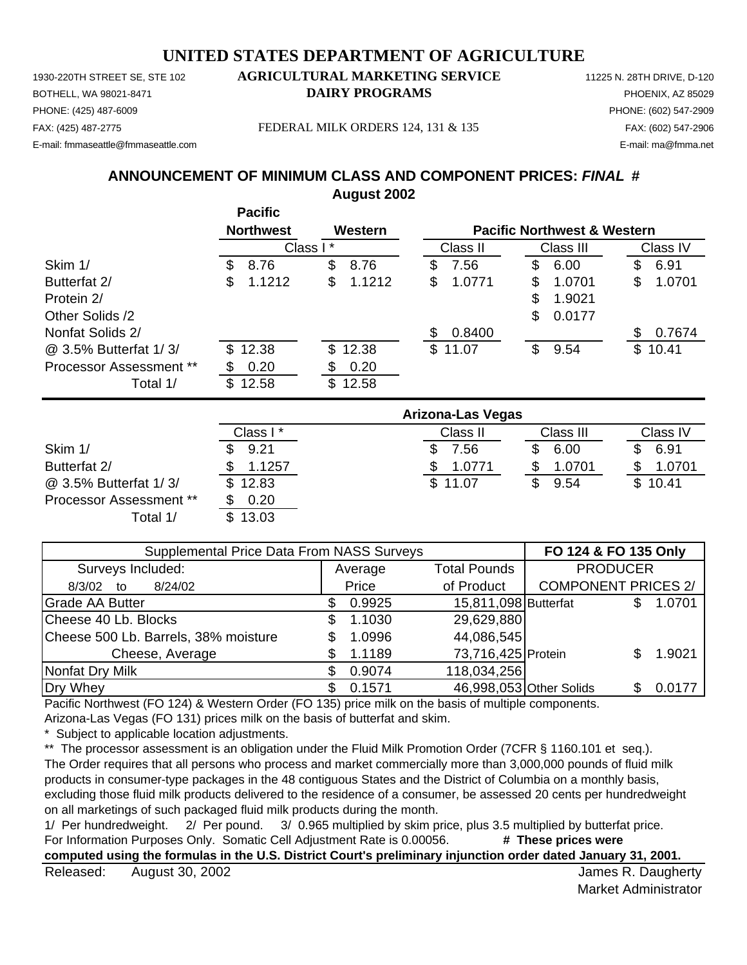1930-220TH STREET SE, STE 102 **AGRICULTURAL MARKETING SERVICE** 11225 N. 28TH DRIVE, D-120 PHONE: (425) 487-6009 PHONE: (602) 547-2909 E-mail: fmmaseattle@fmmaseattle.com E-mail: ma@fmma.net

# BOTHELL, WA 98021-8471 **DAIRY PROGRAMS** PHOENIX, AZ 85029

FAX: (425) 487-2775 FEDERAL MILK ORDERS 124, 131 & 135 FAX: (602) 547-2906

# **ANNOUNCEMENT OF MINIMUM CLASS AND COMPONENT PRICES:** *FINAL* **# August 2002**

|                                | <b>Pacific</b><br><b>Northwest</b> | Western      |                          | <b>Pacific Northwest &amp; Western</b> |              |
|--------------------------------|------------------------------------|--------------|--------------------------|----------------------------------------|--------------|
|                                |                                    | Class I*     | Class II                 | Class III                              | Class IV     |
| Skim 1/                        | 8.76<br>S                          | \$<br>8.76   | \$<br>7.56               | \$<br>6.00                             | 6.91<br>\$   |
| Butterfat 2/                   | 1.1212<br>S                        | \$<br>1.1212 | \$<br>1.0771             | S<br>1.0701                            | 1.0701<br>\$ |
| Protein 2/                     |                                    |              |                          | \$<br>1.9021                           |              |
| Other Solids /2                |                                    |              |                          | \$<br>0.0177                           |              |
| Nonfat Solids 2/               |                                    |              | 0.8400<br>\$             |                                        | 0.7674<br>S  |
| @ 3.5% Butterfat 1/3/          | 12.38<br>\$                        | \$12.38      | \$11.07                  | \$<br>9.54                             | \$10.41      |
| <b>Processor Assessment **</b> | 0.20<br>S                          | 0.20<br>\$   |                          |                                        |              |
| Total 1/                       | \$12.58                            | \$12.58      |                          |                                        |              |
|                                |                                    |              | <b>Arizona-Las Vegas</b> |                                        |              |
|                                | Class I*                           |              | Class II                 | Class III                              | Class IV     |
| Skim 1/                        | 9.21                               |              | 7.56<br>\$               | \$<br>6.00                             | 6.91<br>S    |

|                                | Class I* | Class II | Class III | Class IV |  |
|--------------------------------|----------|----------|-----------|----------|--|
| Skim 1/                        | 9.21     | .56      | 6.00      | 6.91     |  |
| Butterfat 2/                   | 1.1257   | 1.0771   | 1.0701    | 1.0701   |  |
| @ 3.5% Butterfat 1/3/          | \$12.83  | \$11.07  | 9.54      | \$10.41  |  |
| <b>Processor Assessment **</b> | 0.20     |          |           |          |  |
| /Total 1                       | \$1303   |          |           |          |  |

| Supplemental Price Data From NASS Surveys | FO 124 & FO 135 Only |         |                      |                            |  |        |
|-------------------------------------------|----------------------|---------|----------------------|----------------------------|--|--------|
| Surveys Included:                         |                      | Average | <b>Total Pounds</b>  | <b>PRODUCER</b>            |  |        |
| 8/24/02<br>8/3/02<br>to                   |                      | Price   | of Product           | <b>COMPONENT PRICES 2/</b> |  |        |
| <b>Grade AA Butter</b>                    |                      | 0.9925  | 15,811,098 Butterfat |                            |  | 1.0701 |
| Cheese 40 Lb. Blocks                      |                      | 1.1030  | 29,629,880           |                            |  |        |
| Cheese 500 Lb. Barrels, 38% moisture      |                      | 1.0996  | 44,086,545           |                            |  |        |
| Cheese, Average                           |                      | 1.1189  | 73,716,425 Protein   |                            |  | 1.9021 |
| Nonfat Dry Milk                           |                      | 0.9074  | 118,034,256          |                            |  |        |
| Dry Whey                                  |                      | 0.1571  |                      | 46,998,053 Other Solids    |  | 0.0177 |

Pacific Northwest (FO 124) & Western Order (FO 135) price milk on the basis of multiple components.

Arizona-Las Vegas (FO 131) prices milk on the basis of butterfat and skim.

Subject to applicable location adjustments.

\*\* The processor assessment is an obligation under the Fluid Milk Promotion Order (7CFR § 1160.101 et seq.).

The Order requires that all persons who process and market commercially more than 3,000,000 pounds of fluid milk products in consumer-type packages in the 48 contiguous States and the District of Columbia on a monthly basis, excluding those fluid milk products delivered to the residence of a consumer, be assessed 20 cents per hundredweight on all marketings of such packaged fluid milk products during the month.<br>1/ Per hundredweight. 2/ Per pound. 3/ 0.965 multiplied by skim p

1/ Per hundredweight. 2/ Per pound. 3/ 0.965 multiplied by skim price, plus 3.5 multiplied by butterfat price. For Information Purposes Only. Somatic Cell Adjustment Rate is 0.00056. **# These prices were** 

**computed using the formulas in the U.S. District Court's preliminary injunction order dated January 31, 2001.**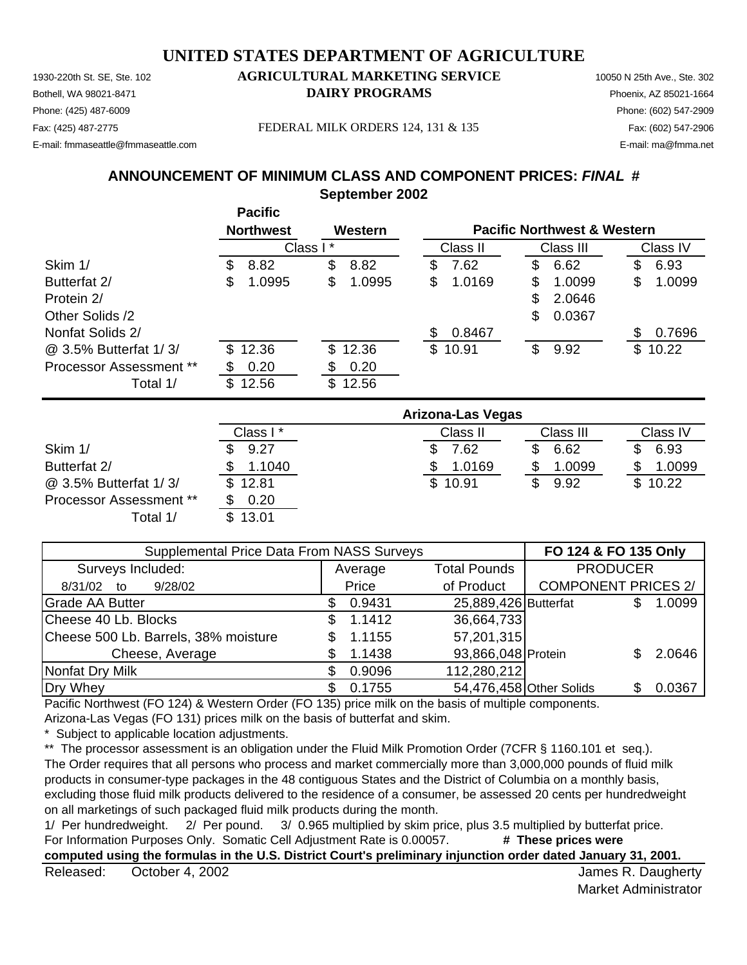Phone: (425) 487-6009 Phone: (602) 547-2909 E-mail: fmmaseattle@fmmaseattle.com E-mail: ma@fmma.net

Fax: (425) 487-2775 FEDERAL MILK ORDERS 124, 131 & 135 Fax: (602) 547-2906

# **ANNOUNCEMENT OF MINIMUM CLASS AND COMPONENT PRICES:** *FINAL* **#**

**September 2002**

|                                |          | י טיוויט<br><b>Northwest</b> |    | Western  | <b>Pacific Northwest &amp; Western</b> |         |           |        |          |         |
|--------------------------------|----------|------------------------------|----|----------|----------------------------------------|---------|-----------|--------|----------|---------|
|                                | Class I* |                              |    | Class II |                                        |         | Class III |        | Class IV |         |
| Skim 1/                        | S        | 8.82                         | \$ | 8.82     | S                                      | 7.62    | S         | 6.62   | S        | 6.93    |
| Butterfat 2/                   | S        | 1.0995                       | \$ | 1.0995   | \$                                     | 1.0169  | S         | 1.0099 | S        | 1.0099  |
| Protein 2/                     |          |                              |    |          |                                        |         | \$        | 2.0646 |          |         |
| Other Solids /2                |          |                              |    |          |                                        |         | \$        | 0.0367 |          |         |
| Nonfat Solids 2/               |          |                              |    |          | S                                      | 0.8467  |           |        | S        | 0.7696  |
| @ 3.5% Butterfat 1/3/          |          | \$12.36                      |    | \$12.36  |                                        | \$10.91 | \$        | 9.92   |          | \$10.22 |
| <b>Processor Assessment **</b> |          | 0.20                         | S  | 0.20     |                                        |         |           |        |          |         |
| Total 1/                       | \$       | 12.56                        | \$ | 12.56    |                                        |         |           |        |          |         |

|                                | <b>Arizona-Las Vegas</b> |          |           |          |  |  |  |  |
|--------------------------------|--------------------------|----------|-----------|----------|--|--|--|--|
|                                | Class I*                 | Class II | Class III | Class IV |  |  |  |  |
| Skim 1/                        | 9.27                     | 7.62     | 6.62      | 6.93     |  |  |  |  |
| Butterfat 2/                   | 1.1040                   | 1.0169   | 1.0099    | 1.0099   |  |  |  |  |
| @ 3.5% Butterfat 1/3/          | \$12.81                  | \$10.91  | 9.92      | \$10.22  |  |  |  |  |
| <b>Processor Assessment **</b> | 0.20                     |          |           |          |  |  |  |  |
| Total 1/                       | \$13.01                  |          |           |          |  |  |  |  |

| Supplemental Price Data From NASS Surveys | FO 124 & FO 135 Only |         |                      |                            |  |        |
|-------------------------------------------|----------------------|---------|----------------------|----------------------------|--|--------|
| Surveys Included:                         |                      | Average | <b>Total Pounds</b>  | <b>PRODUCER</b>            |  |        |
| 9/28/02<br>8/31/02<br>to                  |                      | Price   | of Product           | <b>COMPONENT PRICES 2/</b> |  |        |
| <b>Grade AA Butter</b>                    |                      | 0.9431  | 25,889,426 Butterfat |                            |  | 1.0099 |
| Cheese 40 Lb. Blocks                      | S                    | 1.1412  | 36,664,733           |                            |  |        |
| Cheese 500 Lb. Barrels, 38% moisture      |                      | 1.1155  | 57,201,315           |                            |  |        |
| Cheese, Average                           |                      | 1.1438  | 93,866,048 Protein   |                            |  | 2.0646 |
| Nonfat Dry Milk                           |                      | 0.9096  | 112,280,212          |                            |  |        |
| Dry Whey                                  |                      | 0.1755  |                      | 54,476,458 Other Solids    |  | 0.0367 |

Pacific Northwest (FO 124) & Western Order (FO 135) price milk on the basis of multiple components.

Arizona-Las Vegas (FO 131) prices milk on the basis of butterfat and skim.

**Pacific**

Subject to applicable location adjustments.

\*\* The processor assessment is an obligation under the Fluid Milk Promotion Order (7CFR § 1160.101 et seq.).

The Order requires that all persons who process and market commercially more than 3,000,000 pounds of fluid milk products in consumer-type packages in the 48 contiguous States and the District of Columbia on a monthly basis, excluding those fluid milk products delivered to the residence of a consumer, be assessed 20 cents per hundredweight on all marketings of such packaged fluid milk products during the month.

1/ Per hundredweight. 2/ Per pound. 3/ 0.965 multiplied by skim price, plus 3.5 multiplied by butterfat price. For Information Purposes Only. Somatic Cell Adjustment Rate is 0.00057. **# These prices were** 

**computed using the formulas in the U.S. District Court's preliminary injunction order dated January 31, 2001.**

Released: October 4, 2002 **Solution Contract Contract Contract Contract Contract Contract Contract Contract Contract Contract Contract Contract Contract Contract Contract Contract Contract Contract Contract Contract Contra** October 4, 2002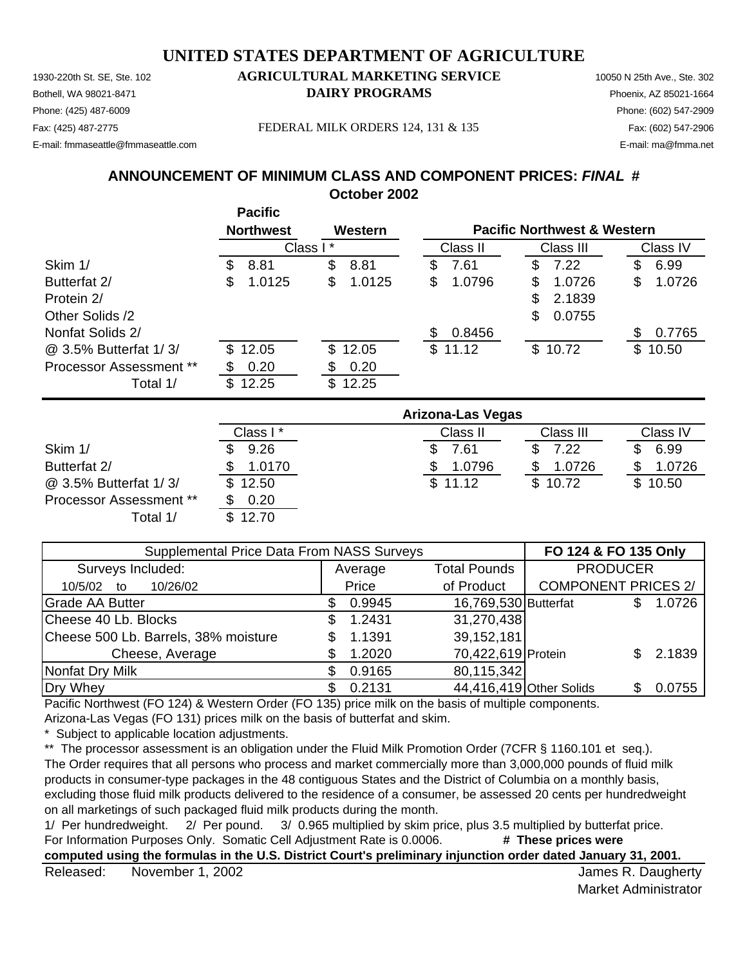Phone: (425) 487-6009 Phone: (602) 547-2909 E-mail: fmmaseattle@fmmaseattle.com E-mail: ma@fmma.net

Fax: (425) 487-2775 FEDERAL MILK ORDERS 124, 131 & 135 Fax: (602) 547-2906

**ANNOUNCEMENT OF MINIMUM CLASS AND COMPONENT PRICES:** *FINAL* **# October 2002**

|                         | <b>Pacific</b><br><b>Northwest</b> | Western      |              | <b>Pacific Northwest &amp; Western</b> |               |  |
|-------------------------|------------------------------------|--------------|--------------|----------------------------------------|---------------|--|
|                         | Class I*                           |              | Class II     | Class III                              | Class IV      |  |
| Skim 1/                 | 8.81<br>\$.                        | \$<br>8.81   | 7.61<br>æ.   | 7.22<br>\$                             | 6.99<br>\$.   |  |
| Butterfat 2/            | 1.0125<br>\$.                      | 1.0125<br>\$ | \$<br>1.0796 | 1.0726<br>S                            | 1.0726<br>\$  |  |
| Protein 2/              |                                    |              |              | \$<br>2.1839                           |               |  |
| Other Solids /2         |                                    |              |              | \$<br>0.0755                           |               |  |
| Nonfat Solids 2/        |                                    |              | 0.8456<br>S  |                                        | 0.7765<br>\$. |  |
| @ 3.5% Butterfat 1/3/   | \$12.05                            | \$12.05      | \$11.12      | \$10.72                                | \$10.50       |  |
| Processor Assessment ** | 0.20<br>S                          | 0.20<br>S    |              |                                        |               |  |
| Total 1/                | \$<br>12.25                        | \$<br>12.25  |              |                                        |               |  |

|                                | <b>Arizona-Las Vegas</b> |          |           |          |  |  |  |  |
|--------------------------------|--------------------------|----------|-----------|----------|--|--|--|--|
|                                | Class I*                 | Class II | Class III | Class IV |  |  |  |  |
| Skim 1/                        | 9.26                     | 7.61     | 7.22      | 6.99     |  |  |  |  |
| Butterfat 2/                   | 1.0170                   | 1.0796   | 1.0726    | 1.0726   |  |  |  |  |
| @ 3.5% Butterfat 1/3/          | \$12.50                  | \$11.12  | \$10.72   | \$10.50  |  |  |  |  |
| <b>Processor Assessment **</b> | 0.20                     |          |           |          |  |  |  |  |
| Total 1/                       | \$12.70                  |          |           |          |  |  |  |  |

| Supplemental Price Data From NASS Surveys | FO 124 & FO 135 Only |        |                      |                            |  |        |
|-------------------------------------------|----------------------|--------|----------------------|----------------------------|--|--------|
| Surveys Included:                         | Average              |        | <b>Total Pounds</b>  | <b>PRODUCER</b>            |  |        |
| 10/26/02<br>10/5/02<br>to                 |                      | Price  | of Product           | <b>COMPONENT PRICES 2/</b> |  |        |
| <b>Grade AA Butter</b>                    | D.                   | 0.9945 | 16,769,530 Butterfat |                            |  | 1.0726 |
| Cheese 40 Lb. Blocks                      | S.                   | 1.2431 | 31,270,438           |                            |  |        |
| Cheese 500 Lb. Barrels, 38% moisture      | S                    | 1.1391 | 39,152,181           |                            |  |        |
| Cheese, Average                           |                      | 1.2020 | 70,422,619 Protein   |                            |  | 2.1839 |
| Nonfat Dry Milk                           | S                    | 0.9165 | 80,115,342           |                            |  |        |
| Dry Whey                                  | SS.                  | 0.2131 |                      | 44,416,419 Other Solids    |  | 0.0755 |

Pacific Northwest (FO 124) & Western Order (FO 135) price milk on the basis of multiple components.

Arizona-Las Vegas (FO 131) prices milk on the basis of butterfat and skim.

Subject to applicable location adjustments.

\*\* The processor assessment is an obligation under the Fluid Milk Promotion Order (7CFR § 1160.101 et seq.).

The Order requires that all persons who process and market commercially more than 3,000,000 pounds of fluid milk products in consumer-type packages in the 48 contiguous States and the District of Columbia on a monthly basis, excluding those fluid milk products delivered to the residence of a consumer, be assessed 20 cents per hundredweight on all marketings of such packaged fluid milk products during the month.

1/ Per hundredweight. 2/ Per pound. 3/ 0.965 multiplied by skim price, plus 3.5 multiplied by butterfat price. For Information Purposes Only. Somatic Cell Adjustment Rate is 0.0006. # These prices were

**computed using the formulas in the U.S. District Court's preliminary injunction order dated January 31, 2001.**

Released: November 1, 2002 **Solution Contract Contract Contract Contract Contract Contract Contract Contract Contract Contract Contract Contract Contract Contract Contract Contract Contract Contract Contract Contract Contr** November 1, 2002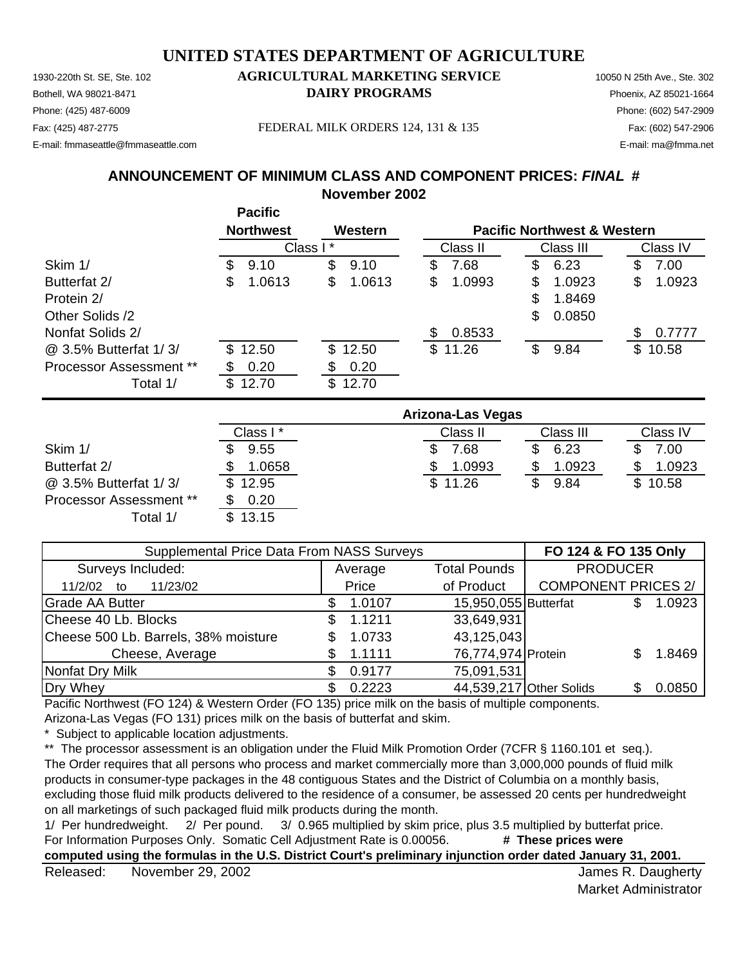Phone: (425) 487-6009 Phone: (602) 547-2909 E-mail: fmmaseattle@fmmaseattle.com E-mail: ma@fmma.net

Fax: (425) 487-2775 FEDERAL MILK ORDERS 124, 131 & 135 Fax: (602) 547-2906

# **ANNOUNCEMENT OF MINIMUM CLASS AND COMPONENT PRICES:** *FINAL* **#**

**November 2002**

|                                |   | י טיוויט                    |    |         |    |                                        |    |           |    |          |  |
|--------------------------------|---|-----------------------------|----|---------|----|----------------------------------------|----|-----------|----|----------|--|
|                                |   | <b>Northwest</b><br>Western |    |         |    | <b>Pacific Northwest &amp; Western</b> |    |           |    |          |  |
|                                |   | Class I*                    |    |         |    | Class II                               |    | Class III |    | Class IV |  |
| Skim 1/                        | S | 9.10                        | \$ | 9.10    | S  | 7.68                                   | S  | 6.23      | \$ | 7.00     |  |
| Butterfat 2/                   | S | 1.0613                      | \$ | 1.0613  | \$ | 1.0993                                 | S  | 1.0923    | \$ | 1.0923   |  |
| Protein 2/                     |   |                             |    |         |    |                                        | \$ | 1.8469    |    |          |  |
| Other Solids /2                |   |                             |    |         |    |                                        | \$ | 0.0850    |    |          |  |
| Nonfat Solids 2/               |   |                             |    |         | S  | 0.8533                                 |    |           |    | 0.7777   |  |
| @ 3.5% Butterfat 1/3/          |   | \$12.50                     |    | \$12.50 |    | \$11.26                                | \$ | 9.84      |    | \$10.58  |  |
| <b>Processor Assessment **</b> |   | 0.20                        |    | 0.20    |    |                                        |    |           |    |          |  |
| Total 1/                       |   | \$12.70                     | \$ | 12.70   |    |                                        |    |           |    |          |  |
|                                |   |                             |    |         |    |                                        |    |           |    |          |  |

|                                | Arizona-Las Vegas |                |            |          |  |  |  |  |
|--------------------------------|-------------------|----------------|------------|----------|--|--|--|--|
|                                | Class I*          | Class II       | Class III  | Class IV |  |  |  |  |
| Skim 1/                        | 9.55              | $^{\prime}.68$ | 6.23<br>£. | 7.00     |  |  |  |  |
| Butterfat 2/                   | 1.0658            | 1.0993         | 1.0923     | 1.0923   |  |  |  |  |
| @ 3.5% Butterfat 1/3/          | \$12.95           | \$11.26        | 9.84       | \$10.58  |  |  |  |  |
| <b>Processor Assessment **</b> | 0.20              |                |            |          |  |  |  |  |
| Total 1/                       | \$13.15           |                |            |          |  |  |  |  |

|                                      | Supplemental Price Data From NASS Surveys |         |                      |                            |  |        |
|--------------------------------------|-------------------------------------------|---------|----------------------|----------------------------|--|--------|
| Surveys Included:                    |                                           | Average | <b>Total Pounds</b>  | <b>PRODUCER</b>            |  |        |
| 11/2/02<br>11/23/02<br>to            |                                           | Price   | of Product           | <b>COMPONENT PRICES 2/</b> |  |        |
| <b>Grade AA Butter</b>               |                                           | 1.0107  | 15,950,055 Butterfat |                            |  | 1.0923 |
| Cheese 40 Lb. Blocks                 |                                           | 1.1211  | 33,649,931           |                            |  |        |
| Cheese 500 Lb. Barrels, 38% moisture |                                           | 1.0733  | 43,125,043           |                            |  |        |
| Cheese, Average                      |                                           | 1.1111  | 76,774,974 Protein   |                            |  | 1.8469 |
| Nonfat Dry Milk                      |                                           | 0.9177  | 75,091,531           |                            |  |        |
| Dry Whey                             |                                           | 0.2223  |                      | 44,539,217 Other Solids    |  | 0.0850 |

Pacific Northwest (FO 124) & Western Order (FO 135) price milk on the basis of multiple components.

Arizona-Las Vegas (FO 131) prices milk on the basis of butterfat and skim.

**Pacific**

Subject to applicable location adjustments.

\*\* The processor assessment is an obligation under the Fluid Milk Promotion Order (7CFR § 1160.101 et seq.).

The Order requires that all persons who process and market commercially more than 3,000,000 pounds of fluid milk products in consumer-type packages in the 48 contiguous States and the District of Columbia on a monthly basis, excluding those fluid milk products delivered to the residence of a consumer, be assessed 20 cents per hundredweight on all marketings of such packaged fluid milk products during the month.

1/ Per hundredweight. 2/ Per pound. 3/ 0.965 multiplied by skim price, plus 3.5 multiplied by butterfat price. For Information Purposes Only. Somatic Cell Adjustment Rate is 0.00056. **# These prices were** 

**computed using the formulas in the U.S. District Court's preliminary injunction order dated January 31, 2001.**

Released: November 29, 2002 **Contract Contract Contract Contract Contract Contract Contract Contract Contract Contract Contract Contract Contract Contract Contract Contract Contract Contract Contract Contract Contract Cont** November 29, 2002